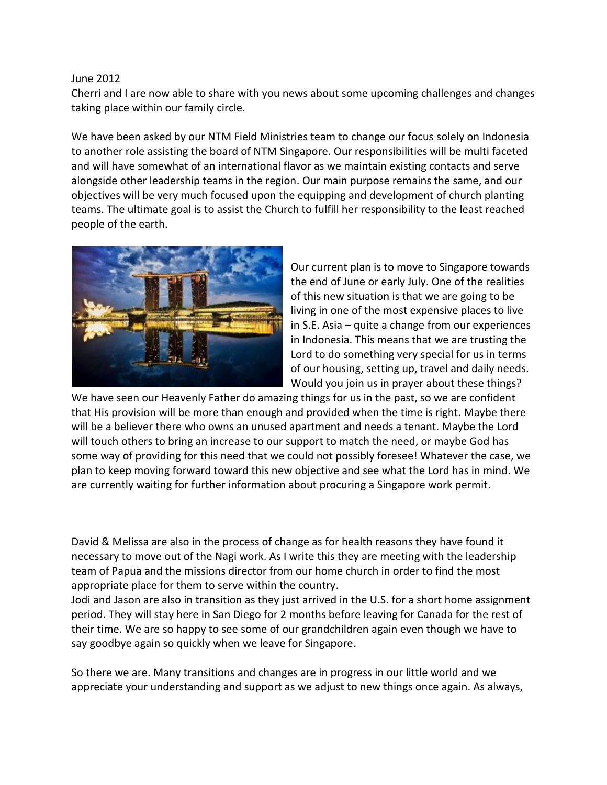## June 2012

Cherri and I are now able to share with you news about some upcoming challenges and changes taking place within our family circle.

We have been asked by our NTM Field Ministries team to change our focus solely on Indonesia to another role assisting the board of NTM Singapore. Our responsibilities will be multi faceted and will have somewhat of an international flavor as we maintain existing contacts and serve alongside other leadership teams in the region. Our main purpose remains the same, and our objectives will be very much focused upon the equipping and development of church planting teams. The ultimate goal is to assist the Church to fulfill her responsibility to the least reached people of the earth.



Our current plan is to move to Singapore towards the end of June or early July. One of the realities of this new situation is that we are going to be living in one of the most expensive places to live in S.E. Asia – quite a change from our experiences in Indonesia. This means that we are trusting the Lord to do something very special for us in terms of our housing, setting up, travel and daily needs. Would you join us in prayer about these things?

We have seen our Heavenly Father do amazing things for us in the past, so we are confident that His provision will be more than enough and provided when the time is right. Maybe there will be a believer there who owns an unused apartment and needs a tenant. Maybe the Lord will touch others to bring an increase to our support to match the need, or maybe God has some way of providing for this need that we could not possibly foresee! Whatever the case, we plan to keep moving forward toward this new objective and see what the Lord has in mind. We are currently waiting for further information about procuring a Singapore work permit.

David & Melissa are also in the process of change as for health reasons they have found it necessary to move out of the Nagi work. As I write this they are meeting with the leadership team of Papua and the missions director from our home church in order to find the most appropriate place for them to serve within the country.

Jodi and Jason are also in transition as they just arrived in the U.S. for a short home assignment period. They will stay here in San Diego for 2 months before leaving for Canada for the rest of their time. We are so happy to see some of our grandchildren again even though we have to say goodbye again so quickly when we leave for Singapore.

So there we are. Many transitions and changes are in progress in our little world and we appreciate your understanding and support as we adjust to new things once again. As always,